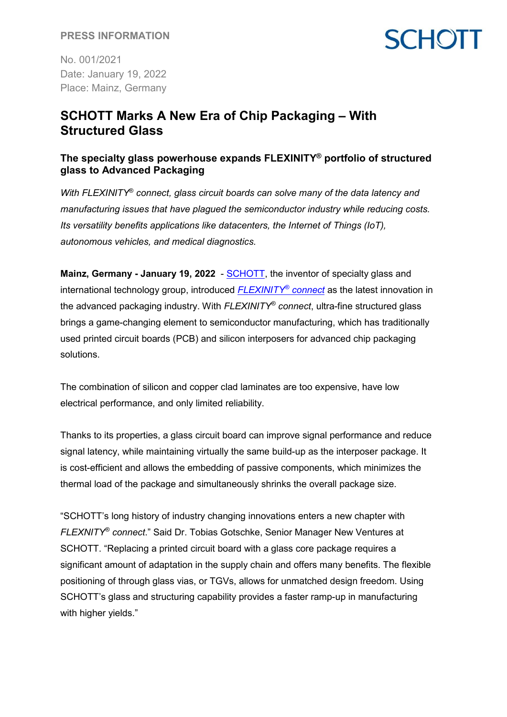**PRESS INFORMATION**

## **CHOTT**

No. 001/2021 Date: January 19, 2022 Place: Mainz, Germany

### **SCHOTT Marks A New Era of Chip Packaging – With Structured Glass**

### **The specialty glass powerhouse expands FLEXINITY® portfolio of structured glass to Advanced Packaging**

*With FLEXINITY*® *connect, glass circuit boards can solve many of the data latency and manufacturing issues that have plagued the semiconductor industry while reducing costs. Its versatility benefits applications like datacenters, the Internet of Things (IoT), autonomous vehicles, and medical diagnostics.*

**Mainz, Germany - January 19, 2022** - **SCHOTT**, the inventor of specialty glass and international technology group, introduced *[FLEXINITY®](https://www.schott.com/en-us/products/flexinity-p1000320/product-variants?tab=flexinity-connect) connect* as the latest innovation in the advanced packaging industry. With *FLEXINITY® connect*, ultra-fine structured glass brings a game-changing element to semiconductor manufacturing, which has traditionally used printed circuit boards (PCB) and silicon interposers for advanced chip packaging solutions.

The combination of silicon and copper clad laminates are too expensive, have low electrical performance, and only limited reliability.

Thanks to its properties, a glass circuit board can improve signal performance and reduce signal latency, while maintaining virtually the same build-up as the interposer package. It is cost-efficient and allows the embedding of passive components, which minimizes the thermal load of the package and simultaneously shrinks the overall package size.

"SCHOTT's long history of industry changing innovations enters a new chapter with *FLEXNITY® connect*." Said Dr. Tobias Gotschke, Senior Manager New Ventures at SCHOTT. "Replacing a printed circuit board with a glass core package requires a significant amount of adaptation in the supply chain and offers many benefits. The flexible positioning of through glass vias, or TGVs, allows for unmatched design freedom. Using SCHOTT's glass and structuring capability provides a faster ramp-up in manufacturing with higher vields."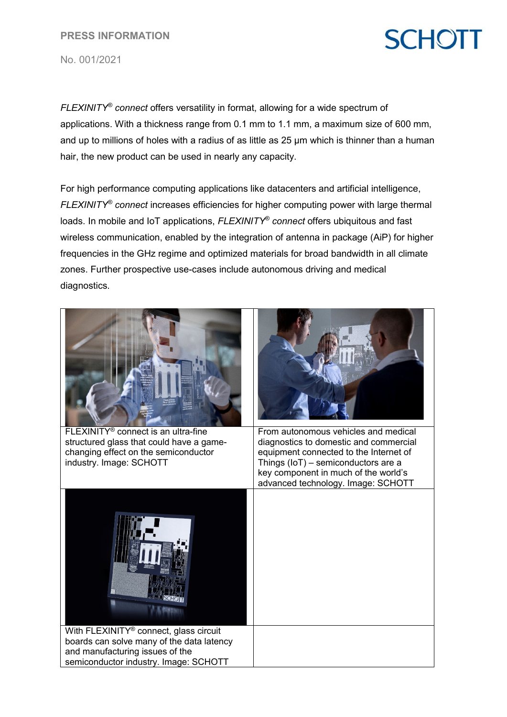**PRESS INFORMATION**

# **SCHOTT**

No. 001/2021

*FLEXINITY® connect* offers versatility in format, allowing for a wide spectrum of applications. With a thickness range from 0.1 mm to 1.1 mm, a maximum size of 600 mm, and up to millions of holes with a radius of as little as 25 um which is thinner than a human hair, the new product can be used in nearly any capacity.

For high performance computing applications like datacenters and artificial intelligence, *FLEXINITY® connect* increases efficiencies for higher computing power with large thermal loads. In mobile and IoT applications, *FLEXINITY® connect* offers ubiquitous and fast wireless communication, enabled by the integration of antenna in package (AiP) for higher frequencies in the GHz regime and optimized materials for broad bandwidth in all climate zones. Further prospective use-cases include autonomous driving and medical diagnostics.